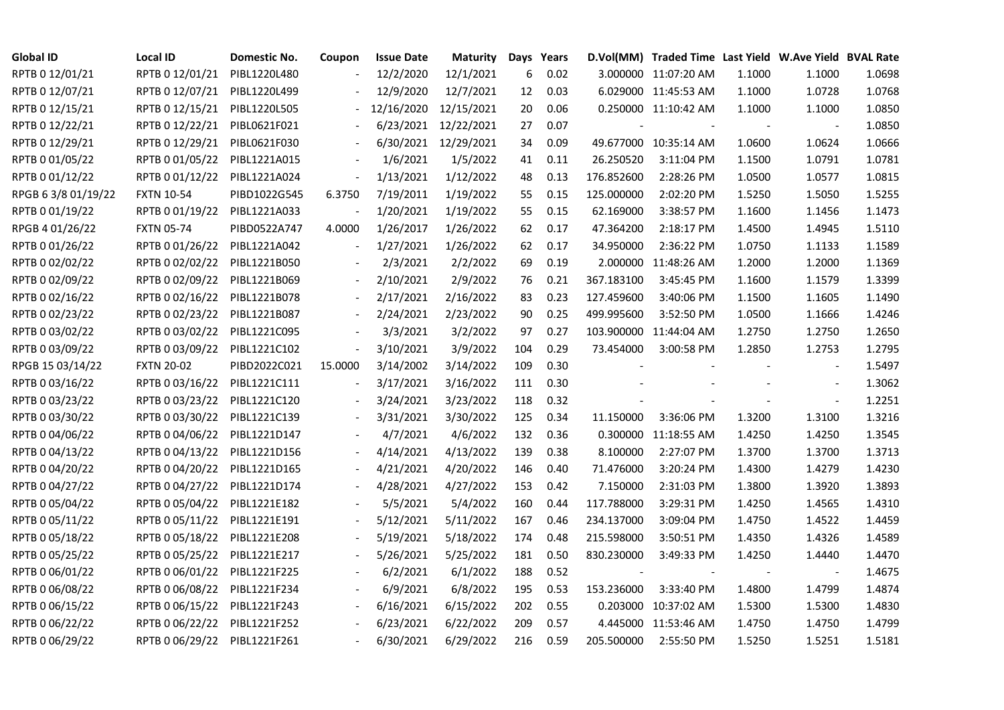| <b>Global ID</b>   | <b>Local ID</b>   | Domestic No. | Coupon                   | <b>Issue Date</b> | Maturity   |     | Days Years |            | D.Vol(MM) Traded Time Last Yield W.Ave Yield BVAL Rate |        |                          |        |
|--------------------|-------------------|--------------|--------------------------|-------------------|------------|-----|------------|------------|--------------------------------------------------------|--------|--------------------------|--------|
| RPTB 0 12/01/21    | RPTB 0 12/01/21   | PIBL1220L480 |                          | 12/2/2020         | 12/1/2021  | 6   | 0.02       |            | 3.000000 11:07:20 AM                                   | 1.1000 | 1.1000                   | 1.0698 |
| RPTB 0 12/07/21    | RPTB 0 12/07/21   | PIBL1220L499 |                          | 12/9/2020         | 12/7/2021  | 12  | 0.03       |            | 6.029000 11:45:53 AM                                   | 1.1000 | 1.0728                   | 1.0768 |
| RPTB 0 12/15/21    | RPTB 0 12/15/21   | PIBL1220L505 |                          | 12/16/2020        | 12/15/2021 | 20  | 0.06       |            | 0.250000 11:10:42 AM                                   | 1.1000 | 1.1000                   | 1.0850 |
| RPTB 0 12/22/21    | RPTB 0 12/22/21   | PIBL0621F021 |                          | 6/23/2021         | 12/22/2021 | 27  | 0.07       |            |                                                        |        |                          | 1.0850 |
| RPTB 0 12/29/21    | RPTB 0 12/29/21   | PIBL0621F030 |                          | 6/30/2021         | 12/29/2021 | 34  | 0.09       |            | 49.677000 10:35:14 AM                                  | 1.0600 | 1.0624                   | 1.0666 |
| RPTB 0 01/05/22    | RPTB 0 01/05/22   | PIBL1221A015 |                          | 1/6/2021          | 1/5/2022   | 41  | 0.11       | 26.250520  | 3:11:04 PM                                             | 1.1500 | 1.0791                   | 1.0781 |
| RPTB 0 01/12/22    | RPTB 0 01/12/22   | PIBL1221A024 | $\blacksquare$           | 1/13/2021         | 1/12/2022  | 48  | 0.13       | 176.852600 | 2:28:26 PM                                             | 1.0500 | 1.0577                   | 1.0815 |
| RPGB 63/8 01/19/22 | <b>FXTN 10-54</b> | PIBD1022G545 | 6.3750                   | 7/19/2011         | 1/19/2022  | 55  | 0.15       | 125.000000 | 2:02:20 PM                                             | 1.5250 | 1.5050                   | 1.5255 |
| RPTB 0 01/19/22    | RPTB 0 01/19/22   | PIBL1221A033 |                          | 1/20/2021         | 1/19/2022  | 55  | 0.15       | 62.169000  | 3:38:57 PM                                             | 1.1600 | 1.1456                   | 1.1473 |
| RPGB 4 01/26/22    | <b>FXTN 05-74</b> | PIBD0522A747 | 4.0000                   | 1/26/2017         | 1/26/2022  | 62  | 0.17       | 47.364200  | 2:18:17 PM                                             | 1.4500 | 1.4945                   | 1.5110 |
| RPTB 0 01/26/22    | RPTB 0 01/26/22   | PIBL1221A042 | $\frac{1}{2}$            | 1/27/2021         | 1/26/2022  | 62  | 0.17       | 34.950000  | 2:36:22 PM                                             | 1.0750 | 1.1133                   | 1.1589 |
| RPTB 0 02/02/22    | RPTB 0 02/02/22   | PIBL1221B050 |                          | 2/3/2021          | 2/2/2022   | 69  | 0.19       |            | 2.000000 11:48:26 AM                                   | 1.2000 | 1.2000                   | 1.1369 |
| RPTB 0 02/09/22    | RPTB 0 02/09/22   | PIBL1221B069 |                          | 2/10/2021         | 2/9/2022   | 76  | 0.21       | 367.183100 | 3:45:45 PM                                             | 1.1600 | 1.1579                   | 1.3399 |
| RPTB 0 02/16/22    | RPTB 0 02/16/22   | PIBL1221B078 |                          | 2/17/2021         | 2/16/2022  | 83  | 0.23       | 127.459600 | 3:40:06 PM                                             | 1.1500 | 1.1605                   | 1.1490 |
| RPTB 0 02/23/22    | RPTB 0 02/23/22   | PIBL1221B087 |                          | 2/24/2021         | 2/23/2022  | 90  | 0.25       | 499.995600 | 3:52:50 PM                                             | 1.0500 | 1.1666                   | 1.4246 |
| RPTB 0 03/02/22    | RPTB 0 03/02/22   | PIBL1221C095 |                          | 3/3/2021          | 3/2/2022   | 97  | 0.27       |            | 103.900000 11:44:04 AM                                 | 1.2750 | 1.2750                   | 1.2650 |
| RPTB 0 03/09/22    | RPTB 0 03/09/22   | PIBL1221C102 | $\overline{\phantom{a}}$ | 3/10/2021         | 3/9/2022   | 104 | 0.29       | 73.454000  | 3:00:58 PM                                             | 1.2850 | 1.2753                   | 1.2795 |
| RPGB 15 03/14/22   | <b>FXTN 20-02</b> | PIBD2022C021 | 15.0000                  | 3/14/2002         | 3/14/2022  | 109 | 0.30       |            |                                                        |        |                          | 1.5497 |
| RPTB 0 03/16/22    | RPTB 0 03/16/22   | PIBL1221C111 | $\overline{\phantom{a}}$ | 3/17/2021         | 3/16/2022  | 111 | 0.30       |            |                                                        |        |                          | 1.3062 |
| RPTB 0 03/23/22    | RPTB 0 03/23/22   | PIBL1221C120 |                          | 3/24/2021         | 3/23/2022  | 118 | 0.32       |            |                                                        |        | $\overline{\phantom{a}}$ | 1.2251 |
| RPTB 0 03/30/22    | RPTB 0 03/30/22   | PIBL1221C139 |                          | 3/31/2021         | 3/30/2022  | 125 | 0.34       | 11.150000  | 3:36:06 PM                                             | 1.3200 | 1.3100                   | 1.3216 |
| RPTB 0 04/06/22    | RPTB 0 04/06/22   | PIBL1221D147 |                          | 4/7/2021          | 4/6/2022   | 132 | 0.36       |            | 0.300000 11:18:55 AM                                   | 1.4250 | 1.4250                   | 1.3545 |
| RPTB 0 04/13/22    | RPTB 0 04/13/22   | PIBL1221D156 |                          | 4/14/2021         | 4/13/2022  | 139 | 0.38       | 8.100000   | 2:27:07 PM                                             | 1.3700 | 1.3700                   | 1.3713 |
| RPTB 0 04/20/22    | RPTB 0 04/20/22   | PIBL1221D165 |                          | 4/21/2021         | 4/20/2022  | 146 | 0.40       | 71.476000  | 3:20:24 PM                                             | 1.4300 | 1.4279                   | 1.4230 |
| RPTB 0 04/27/22    | RPTB 0 04/27/22   | PIBL1221D174 |                          | 4/28/2021         | 4/27/2022  | 153 | 0.42       | 7.150000   | 2:31:03 PM                                             | 1.3800 | 1.3920                   | 1.3893 |
| RPTB 0 05/04/22    | RPTB 0 05/04/22   | PIBL1221E182 |                          | 5/5/2021          | 5/4/2022   | 160 | 0.44       | 117.788000 | 3:29:31 PM                                             | 1.4250 | 1.4565                   | 1.4310 |
| RPTB 0 05/11/22    | RPTB 0 05/11/22   | PIBL1221E191 |                          | 5/12/2021         | 5/11/2022  | 167 | 0.46       | 234.137000 | 3:09:04 PM                                             | 1.4750 | 1.4522                   | 1.4459 |
| RPTB 0 05/18/22    | RPTB 0 05/18/22   | PIBL1221E208 |                          | 5/19/2021         | 5/18/2022  | 174 | 0.48       | 215.598000 | 3:50:51 PM                                             | 1.4350 | 1.4326                   | 1.4589 |
| RPTB 0 05/25/22    | RPTB 0 05/25/22   | PIBL1221E217 |                          | 5/26/2021         | 5/25/2022  | 181 | 0.50       | 830.230000 | 3:49:33 PM                                             | 1.4250 | 1.4440                   | 1.4470 |
| RPTB 0 06/01/22    | RPTB 0 06/01/22   | PIBL1221F225 |                          | 6/2/2021          | 6/1/2022   | 188 | 0.52       |            |                                                        |        |                          | 1.4675 |
| RPTB 0 06/08/22    | RPTB 0 06/08/22   | PIBL1221F234 |                          | 6/9/2021          | 6/8/2022   | 195 | 0.53       | 153.236000 | 3:33:40 PM                                             | 1.4800 | 1.4799                   | 1.4874 |
| RPTB 0 06/15/22    | RPTB 0 06/15/22   | PIBL1221F243 | $\overline{\phantom{a}}$ | 6/16/2021         | 6/15/2022  | 202 | 0.55       |            | 0.203000 10:37:02 AM                                   | 1.5300 | 1.5300                   | 1.4830 |
| RPTB 0 06/22/22    | RPTB 0 06/22/22   | PIBL1221F252 |                          | 6/23/2021         | 6/22/2022  | 209 | 0.57       |            | 4.445000 11:53:46 AM                                   | 1.4750 | 1.4750                   | 1.4799 |
| RPTB 0 06/29/22    | RPTB 0 06/29/22   | PIBL1221F261 |                          | 6/30/2021         | 6/29/2022  | 216 | 0.59       | 205.500000 | 2:55:50 PM                                             | 1.5250 | 1.5251                   | 1.5181 |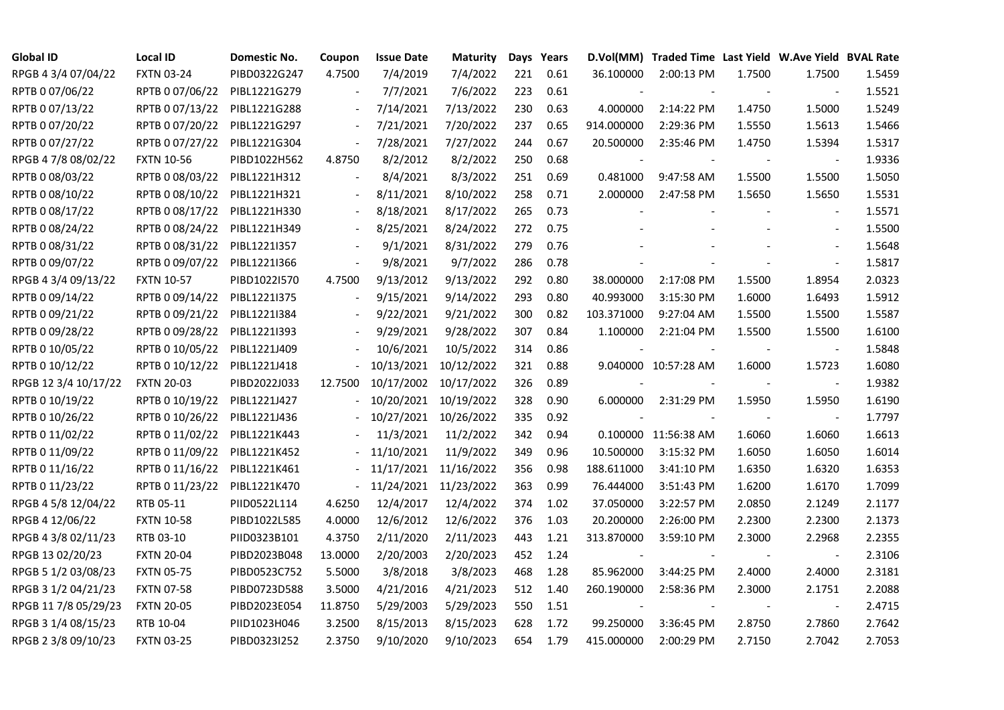| <b>Global ID</b>     | <b>Local ID</b>   | Domestic No. | Coupon                   | <b>Issue Date</b> | Maturity   |     | Days Years |            | D.Vol(MM) Traded Time Last Yield W.Ave Yield BVAL Rate |        |                          |        |
|----------------------|-------------------|--------------|--------------------------|-------------------|------------|-----|------------|------------|--------------------------------------------------------|--------|--------------------------|--------|
| RPGB 4 3/4 07/04/22  | <b>FXTN 03-24</b> | PIBD0322G247 | 4.7500                   | 7/4/2019          | 7/4/2022   | 221 | 0.61       | 36.100000  | 2:00:13 PM                                             | 1.7500 | 1.7500                   | 1.5459 |
| RPTB 0 07/06/22      | RPTB 0 07/06/22   | PIBL1221G279 |                          | 7/7/2021          | 7/6/2022   | 223 | 0.61       |            |                                                        |        |                          | 1.5521 |
| RPTB 0 07/13/22      | RPTB 0 07/13/22   | PIBL1221G288 | $\blacksquare$           | 7/14/2021         | 7/13/2022  | 230 | 0.63       | 4.000000   | 2:14:22 PM                                             | 1.4750 | 1.5000                   | 1.5249 |
| RPTB 0 07/20/22      | RPTB 0 07/20/22   | PIBL1221G297 | $\blacksquare$           | 7/21/2021         | 7/20/2022  | 237 | 0.65       | 914.000000 | 2:29:36 PM                                             | 1.5550 | 1.5613                   | 1.5466 |
| RPTB 0 07/27/22      | RPTB 0 07/27/22   | PIBL1221G304 | $\blacksquare$           | 7/28/2021         | 7/27/2022  | 244 | 0.67       | 20.500000  | 2:35:46 PM                                             | 1.4750 | 1.5394                   | 1.5317 |
| RPGB 4 7/8 08/02/22  | <b>FXTN 10-56</b> | PIBD1022H562 | 4.8750                   | 8/2/2012          | 8/2/2022   | 250 | 0.68       |            |                                                        |        |                          | 1.9336 |
| RPTB 0 08/03/22      | RPTB 0 08/03/22   | PIBL1221H312 | $\blacksquare$           | 8/4/2021          | 8/3/2022   | 251 | 0.69       | 0.481000   | 9:47:58 AM                                             | 1.5500 | 1.5500                   | 1.5050 |
| RPTB 0 08/10/22      | RPTB 0 08/10/22   | PIBL1221H321 | $\overline{\phantom{a}}$ | 8/11/2021         | 8/10/2022  | 258 | 0.71       | 2.000000   | 2:47:58 PM                                             | 1.5650 | 1.5650                   | 1.5531 |
| RPTB 0 08/17/22      | RPTB 0 08/17/22   | PIBL1221H330 |                          | 8/18/2021         | 8/17/2022  | 265 | 0.73       |            |                                                        |        |                          | 1.5571 |
| RPTB 0 08/24/22      | RPTB 0 08/24/22   | PIBL1221H349 | $\overline{\phantom{a}}$ | 8/25/2021         | 8/24/2022  | 272 | 0.75       |            |                                                        |        | $\overline{\phantom{a}}$ | 1.5500 |
| RPTB 0 08/31/22      | RPTB 0 08/31/22   | PIBL1221I357 | $\overline{\phantom{a}}$ | 9/1/2021          | 8/31/2022  | 279 | 0.76       |            |                                                        |        | $\overline{\phantom{a}}$ | 1.5648 |
| RPTB 0 09/07/22      | RPTB 0 09/07/22   | PIBL1221I366 | $\overline{\phantom{a}}$ | 9/8/2021          | 9/7/2022   | 286 | 0.78       |            |                                                        |        | $\overline{\phantom{a}}$ | 1.5817 |
| RPGB 4 3/4 09/13/22  | <b>FXTN 10-57</b> | PIBD1022I570 | 4.7500                   | 9/13/2012         | 9/13/2022  | 292 | 0.80       | 38.000000  | 2:17:08 PM                                             | 1.5500 | 1.8954                   | 2.0323 |
| RPTB 0 09/14/22      | RPTB 0 09/14/22   | PIBL1221I375 | $\overline{\phantom{a}}$ | 9/15/2021         | 9/14/2022  | 293 | 0.80       | 40.993000  | 3:15:30 PM                                             | 1.6000 | 1.6493                   | 1.5912 |
| RPTB 0 09/21/22      | RPTB 0 09/21/22   | PIBL1221I384 |                          | 9/22/2021         | 9/21/2022  | 300 | 0.82       | 103.371000 | 9:27:04 AM                                             | 1.5500 | 1.5500                   | 1.5587 |
| RPTB 0 09/28/22      | RPTB 0 09/28/22   | PIBL1221I393 |                          | 9/29/2021         | 9/28/2022  | 307 | 0.84       | 1.100000   | 2:21:04 PM                                             | 1.5500 | 1.5500                   | 1.6100 |
| RPTB 0 10/05/22      | RPTB 0 10/05/22   | PIBL1221J409 |                          | 10/6/2021         | 10/5/2022  | 314 | 0.86       |            |                                                        |        |                          | 1.5848 |
| RPTB 0 10/12/22      | RPTB 0 10/12/22   | PIBL1221J418 |                          | 10/13/2021        | 10/12/2022 | 321 | 0.88       |            | 9.040000 10:57:28 AM                                   | 1.6000 | 1.5723                   | 1.6080 |
| RPGB 12 3/4 10/17/22 | <b>FXTN 20-03</b> | PIBD2022J033 | 12.7500                  | 10/17/2002        | 10/17/2022 | 326 | 0.89       |            |                                                        |        |                          | 1.9382 |
| RPTB 0 10/19/22      | RPTB 0 10/19/22   | PIBL1221J427 |                          | 10/20/2021        | 10/19/2022 | 328 | 0.90       | 6.000000   | 2:31:29 PM                                             | 1.5950 | 1.5950                   | 1.6190 |
| RPTB 0 10/26/22      | RPTB 0 10/26/22   | PIBL1221J436 |                          | 10/27/2021        | 10/26/2022 | 335 | 0.92       |            |                                                        |        | $\blacksquare$           | 1.7797 |
| RPTB 0 11/02/22      | RPTB 0 11/02/22   | PIBL1221K443 |                          | 11/3/2021         | 11/2/2022  | 342 | 0.94       |            | 0.100000 11:56:38 AM                                   | 1.6060 | 1.6060                   | 1.6613 |
| RPTB 0 11/09/22      | RPTB 0 11/09/22   | PIBL1221K452 |                          | 11/10/2021        | 11/9/2022  | 349 | 0.96       | 10.500000  | 3:15:32 PM                                             | 1.6050 | 1.6050                   | 1.6014 |
| RPTB 0 11/16/22      | RPTB 0 11/16/22   | PIBL1221K461 |                          | 11/17/2021        | 11/16/2022 | 356 | 0.98       | 188.611000 | 3:41:10 PM                                             | 1.6350 | 1.6320                   | 1.6353 |
| RPTB 0 11/23/22      | RPTB 0 11/23/22   | PIBL1221K470 | $\blacksquare$           | 11/24/2021        | 11/23/2022 | 363 | 0.99       | 76.444000  | 3:51:43 PM                                             | 1.6200 | 1.6170                   | 1.7099 |
| RPGB 4 5/8 12/04/22  | RTB 05-11         | PIID0522L114 | 4.6250                   | 12/4/2017         | 12/4/2022  | 374 | 1.02       | 37.050000  | 3:22:57 PM                                             | 2.0850 | 2.1249                   | 2.1177 |
| RPGB 4 12/06/22      | <b>FXTN 10-58</b> | PIBD1022L585 | 4.0000                   | 12/6/2012         | 12/6/2022  | 376 | 1.03       | 20.200000  | 2:26:00 PM                                             | 2.2300 | 2.2300                   | 2.1373 |
| RPGB 4 3/8 02/11/23  | RTB 03-10         | PIID0323B101 | 4.3750                   | 2/11/2020         | 2/11/2023  | 443 | 1.21       | 313.870000 | 3:59:10 PM                                             | 2.3000 | 2.2968                   | 2.2355 |
| RPGB 13 02/20/23     | <b>FXTN 20-04</b> | PIBD2023B048 | 13.0000                  | 2/20/2003         | 2/20/2023  | 452 | 1.24       |            |                                                        |        | $\overline{\phantom{a}}$ | 2.3106 |
| RPGB 5 1/2 03/08/23  | <b>FXTN 05-75</b> | PIBD0523C752 | 5.5000                   | 3/8/2018          | 3/8/2023   | 468 | 1.28       | 85.962000  | 3:44:25 PM                                             | 2.4000 | 2.4000                   | 2.3181 |
| RPGB 3 1/2 04/21/23  | <b>FXTN 07-58</b> | PIBD0723D588 | 3.5000                   | 4/21/2016         | 4/21/2023  | 512 | 1.40       | 260.190000 | 2:58:36 PM                                             | 2.3000 | 2.1751                   | 2.2088 |
| RPGB 11 7/8 05/29/23 | <b>FXTN 20-05</b> | PIBD2023E054 | 11.8750                  | 5/29/2003         | 5/29/2023  | 550 | 1.51       |            |                                                        |        |                          | 2.4715 |
| RPGB 3 1/4 08/15/23  | RTB 10-04         | PIID1023H046 | 3.2500                   | 8/15/2013         | 8/15/2023  | 628 | 1.72       | 99.250000  | 3:36:45 PM                                             | 2.8750 | 2.7860                   | 2.7642 |
| RPGB 2 3/8 09/10/23  | <b>FXTN 03-25</b> | PIBD0323I252 | 2.3750                   | 9/10/2020         | 9/10/2023  | 654 | 1.79       | 415.000000 | 2:00:29 PM                                             | 2.7150 | 2.7042                   | 2.7053 |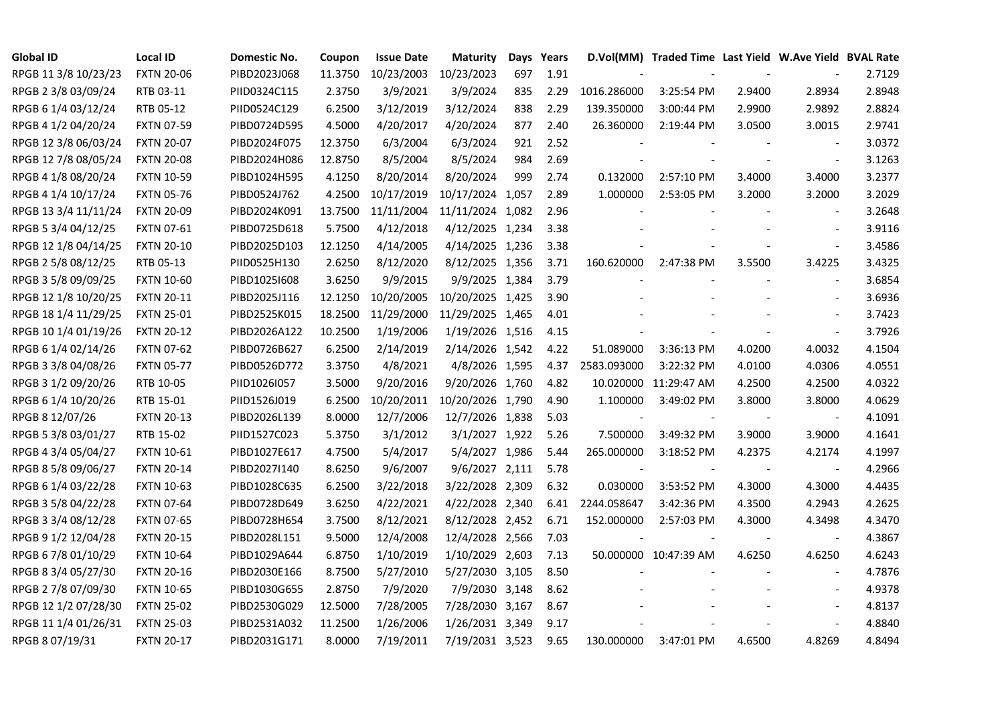| <b>Global ID</b>     | <b>Local ID</b>   | Domestic No. | Coupon  | <b>Issue Date</b> | <b>Maturity</b>  |     | Days Years |                          | D.Vol(MM) Traded Time Last Yield W.Ave Yield BVAL Rate |        |                          |        |
|----------------------|-------------------|--------------|---------|-------------------|------------------|-----|------------|--------------------------|--------------------------------------------------------|--------|--------------------------|--------|
| RPGB 11 3/8 10/23/23 | <b>FXTN 20-06</b> | PIBD2023J068 | 11.3750 | 10/23/2003        | 10/23/2023       | 697 | 1.91       |                          |                                                        |        |                          | 2.7129 |
| RPGB 2 3/8 03/09/24  | RTB 03-11         | PIID0324C115 | 2.3750  | 3/9/2021          | 3/9/2024         | 835 | 2.29       | 1016.286000              | 3:25:54 PM                                             | 2.9400 | 2.8934                   | 2.8948 |
| RPGB 6 1/4 03/12/24  | RTB 05-12         | PIID0524C129 | 6.2500  | 3/12/2019         | 3/12/2024        | 838 | 2.29       | 139.350000               | 3:00:44 PM                                             | 2.9900 | 2.9892                   | 2.8824 |
| RPGB 4 1/2 04/20/24  | <b>FXTN 07-59</b> | PIBD0724D595 | 4.5000  | 4/20/2017         | 4/20/2024        | 877 | 2.40       | 26.360000                | 2:19:44 PM                                             | 3.0500 | 3.0015                   | 2.9741 |
| RPGB 12 3/8 06/03/24 | <b>FXTN 20-07</b> | PIBD2024F075 | 12.3750 | 6/3/2004          | 6/3/2024         | 921 | 2.52       |                          |                                                        |        | $\blacksquare$           | 3.0372 |
| RPGB 12 7/8 08/05/24 | <b>FXTN 20-08</b> | PIBD2024H086 | 12.8750 | 8/5/2004          | 8/5/2024         | 984 | 2.69       |                          |                                                        |        | $\blacksquare$           | 3.1263 |
| RPGB 4 1/8 08/20/24  | <b>FXTN 10-59</b> | PIBD1024H595 | 4.1250  | 8/20/2014         | 8/20/2024        | 999 | 2.74       | 0.132000                 | 2:57:10 PM                                             | 3.4000 | 3.4000                   | 3.2377 |
| RPGB 4 1/4 10/17/24  | <b>FXTN 05-76</b> | PIBD0524J762 | 4.2500  | 10/17/2019        | 10/17/2024 1,057 |     | 2.89       | 1.000000                 | 2:53:05 PM                                             | 3.2000 | 3.2000                   | 3.2029 |
| RPGB 13 3/4 11/11/24 | <b>FXTN 20-09</b> | PIBD2024K091 | 13.7500 | 11/11/2004        | 11/11/2024 1,082 |     | 2.96       |                          |                                                        |        |                          | 3.2648 |
| RPGB 5 3/4 04/12/25  | <b>FXTN 07-61</b> | PIBD0725D618 | 5.7500  | 4/12/2018         | 4/12/2025 1,234  |     | 3.38       |                          |                                                        |        | $\overline{\phantom{a}}$ | 3.9116 |
| RPGB 12 1/8 04/14/25 | <b>FXTN 20-10</b> | PIBD2025D103 | 12.1250 | 4/14/2005         | 4/14/2025 1,236  |     | 3.38       |                          |                                                        |        | $\overline{\phantom{a}}$ | 3.4586 |
| RPGB 2 5/8 08/12/25  | RTB 05-13         | PIID0525H130 | 2.6250  | 8/12/2020         | 8/12/2025 1,356  |     | 3.71       | 160.620000               | 2:47:38 PM                                             | 3.5500 | 3.4225                   | 3.4325 |
| RPGB 3 5/8 09/09/25  | <b>FXTN 10-60</b> | PIBD10251608 | 3.6250  | 9/9/2015          | 9/9/2025 1,384   |     | 3.79       |                          |                                                        |        | $\blacksquare$           | 3.6854 |
| RPGB 12 1/8 10/20/25 | <b>FXTN 20-11</b> | PIBD2025J116 | 12.1250 | 10/20/2005        | 10/20/2025 1,425 |     | 3.90       |                          |                                                        |        | $\blacksquare$           | 3.6936 |
| RPGB 18 1/4 11/29/25 | <b>FXTN 25-01</b> | PIBD2525K015 | 18.2500 | 11/29/2000        | 11/29/2025 1,465 |     | 4.01       |                          |                                                        |        | $\sim$                   | 3.7423 |
| RPGB 10 1/4 01/19/26 | <b>FXTN 20-12</b> | PIBD2026A122 | 10.2500 | 1/19/2006         | 1/19/2026 1,516  |     | 4.15       |                          |                                                        |        | $\overline{a}$           | 3.7926 |
| RPGB 6 1/4 02/14/26  | <b>FXTN 07-62</b> | PIBD0726B627 | 6.2500  | 2/14/2019         | 2/14/2026 1,542  |     | 4.22       | 51.089000                | 3:36:13 PM                                             | 4.0200 | 4.0032                   | 4.1504 |
| RPGB 3 3/8 04/08/26  | <b>FXTN 05-77</b> | PIBD0526D772 | 3.3750  | 4/8/2021          | 4/8/2026 1,595   |     | 4.37       | 2583.093000              | 3:22:32 PM                                             | 4.0100 | 4.0306                   | 4.0551 |
| RPGB 3 1/2 09/20/26  | RTB 10-05         | PIID1026I057 | 3.5000  | 9/20/2016         | 9/20/2026 1,760  |     | 4.82       |                          | 10.020000 11:29:47 AM                                  | 4.2500 | 4.2500                   | 4.0322 |
| RPGB 6 1/4 10/20/26  | RTB 15-01         | PIID1526J019 | 6.2500  | 10/20/2011        | 10/20/2026 1,790 |     | 4.90       | 1.100000                 | 3:49:02 PM                                             | 3.8000 | 3.8000                   | 4.0629 |
| RPGB 8 12/07/26      | <b>FXTN 20-13</b> | PIBD2026L139 | 8.0000  | 12/7/2006         | 12/7/2026 1,838  |     | 5.03       | $\overline{\phantom{a}}$ |                                                        |        | $\overline{\phantom{a}}$ | 4.1091 |
| RPGB 5 3/8 03/01/27  | RTB 15-02         | PIID1527C023 | 5.3750  | 3/1/2012          | 3/1/2027 1,922   |     | 5.26       | 7.500000                 | 3:49:32 PM                                             | 3.9000 | 3.9000                   | 4.1641 |
| RPGB 4 3/4 05/04/27  | <b>FXTN 10-61</b> | PIBD1027E617 | 4.7500  | 5/4/2017          | 5/4/2027 1,986   |     | 5.44       | 265.000000               | 3:18:52 PM                                             | 4.2375 | 4.2174                   | 4.1997 |
| RPGB 8 5/8 09/06/27  | <b>FXTN 20-14</b> | PIBD2027I140 | 8.6250  | 9/6/2007          | 9/6/2027 2,111   |     | 5.78       |                          |                                                        |        | $\sim$                   | 4.2966 |
| RPGB 6 1/4 03/22/28  | <b>FXTN 10-63</b> | PIBD1028C635 | 6.2500  | 3/22/2018         | 3/22/2028 2,309  |     | 6.32       | 0.030000                 | 3:53:52 PM                                             | 4.3000 | 4.3000                   | 4.4435 |
| RPGB 3 5/8 04/22/28  | <b>FXTN 07-64</b> | PIBD0728D649 | 3.6250  | 4/22/2021         | 4/22/2028 2,340  |     | 6.41       | 2244.058647              | 3:42:36 PM                                             | 4.3500 | 4.2943                   | 4.2625 |
| RPGB 3 3/4 08/12/28  | <b>FXTN 07-65</b> | PIBD0728H654 | 3.7500  | 8/12/2021         | 8/12/2028 2,452  |     | 6.71       | 152.000000               | 2:57:03 PM                                             | 4.3000 | 4.3498                   | 4.3470 |
| RPGB 9 1/2 12/04/28  | <b>FXTN 20-15</b> | PIBD2028L151 | 9.5000  | 12/4/2008         | 12/4/2028 2,566  |     | 7.03       |                          |                                                        |        | $\blacksquare$           | 4.3867 |
| RPGB 6 7/8 01/10/29  | <b>FXTN 10-64</b> | PIBD1029A644 | 6.8750  | 1/10/2019         | 1/10/2029 2,603  |     | 7.13       |                          | 50.000000 10:47:39 AM                                  | 4.6250 | 4.6250                   | 4.6243 |
| RPGB 8 3/4 05/27/30  | <b>FXTN 20-16</b> | PIBD2030E166 | 8.7500  | 5/27/2010         | 5/27/2030 3,105  |     | 8.50       |                          |                                                        |        |                          | 4.7876 |
| RPGB 2 7/8 07/09/30  | <b>FXTN 10-65</b> | PIBD1030G655 | 2.8750  | 7/9/2020          | 7/9/2030 3,148   |     | 8.62       |                          |                                                        |        | $\blacksquare$           | 4.9378 |
| RPGB 12 1/2 07/28/30 | <b>FXTN 25-02</b> | PIBD2530G029 | 12.5000 | 7/28/2005         | 7/28/2030 3,167  |     | 8.67       |                          |                                                        |        | $\overline{\phantom{a}}$ | 4.8137 |
| RPGB 11 1/4 01/26/31 | <b>FXTN 25-03</b> | PIBD2531A032 | 11.2500 | 1/26/2006         | 1/26/2031 3,349  |     | 9.17       |                          |                                                        |        | $\sim$                   | 4.8840 |
| RPGB 8 07/19/31      | <b>FXTN 20-17</b> | PIBD2031G171 | 8.0000  | 7/19/2011         | 7/19/2031 3,523  |     | 9.65       | 130.000000               | 3:47:01 PM                                             | 4.6500 | 4.8269                   | 4.8494 |